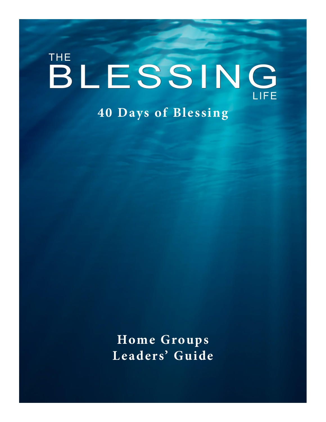# BLESSING THE LIFE **40 Days of Blessing**

**Home Groups L eaders' Guide**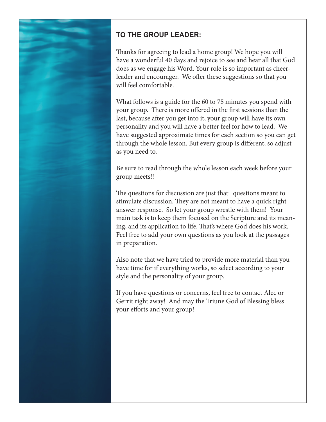

# **TO THE GROUP LEADER:**

Thanks for agreeing to lead a home group! We hope you will have a wonderful 40 days and rejoice to see and hear all that God does as we engage his Word. Your role is so important as cheerleader and encourager. We offer these suggestions so that you will feel comfortable.

What follows is a guide for the 60 to 75 minutes you spend with your group. There is more offered in the first sessions than the last, because after you get into it, your group will have its own personality and you will have a better feel for how to lead. We have suggested approximate times for each section so you can get through the whole lesson. But every group is different, so adjust as you need to.

Be sure to read through the whole lesson each week before your group meets!!

The questions for discussion are just that: questions meant to stimulate discussion. They are not meant to have a quick right answer response. So let your group wrestle with them! Your main task is to keep them focused on the Scripture and its meaning, and its application to life. That's where God does his work. Feel free to add your own questions as you look at the passages in preparation.

Also note that we have tried to provide more material than you have time for if everything works, so select according to your style and the personality of your group.

If you have questions or concerns, feel free to contact Alec or Gerrit right away! And may the Triune God of Blessing bless your efforts and your group!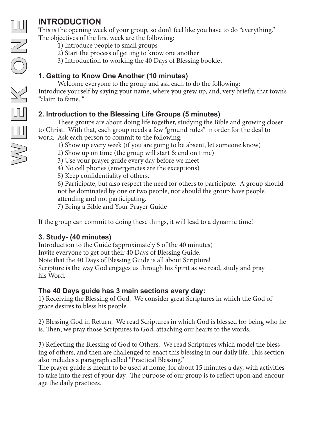This is the opening week of your group, so don't feel like you have to do "everything." The objectives of the first week are the following:

- 1) Introduce people to small groups
- 2) Start the process of getting to know one another
- 3) Introduction to working the 40 Days of Blessing booklet

# **1. Getting to Know One Another (10 minutes)**

Welcome everyone to the group and ask each to do the following: Introduce yourself by saying your name, where you grew up, and, very briefly, that town's "claim to fame. "

# **2. Introduction to the Blessing Life Groups (5 minutes)**

These groups are about doing life together, studying the Bible and growing closer to Christ. With that, each group needs a few "ground rules" in order for the deal to work. Ask each person to commit to the following:

- 1) Show up every week (if you are going to be absent, let someone know)
- 2) Show up on time (the group will start & end on time)
- 3) Use your prayer guide every day before we meet
- 4) No cell phones (emergencies are the exceptions)

5) Keep confidentiality of others.

6) Participate, but also respect the need for others to participate. A group should not be dominated by one or two people, nor should the group have people attending and not participating.

7) Bring a Bible and Your Prayer Guide

If the group can commit to doing these things, it will lead to a dynamic time!

# **3. Study- (40 minutes)**

Introduction to the Guide (approximately 5 of the 40 minutes)

Invite everyone to get out their 40 Days of Blessing Guide.

Note that the 40 Days of Blessing Guide is all about Scripture!

Scripture is the way God engages us through his Spirit as we read, study and pray his Word.

### **The 40 Days guide has 3 main sections every day:**

1) Receiving the Blessing of God. We consider great Scriptures in which the God of grace desires to bless his people.

2) Blessing God in Return. We read Scriptures in which God is blessed for being who he is. Then, we pray those Scriptures to God, attaching our hearts to the words.

3) Reflecting the Blessing of God to Others. We read Scriptures which model the bless ing of others, and then are challenged to enact this blessing in our daily life. This section also includes a paragraph called "Practical Blessing."

The prayer guide is meant to be used at home, for about 15 minutes a day, with activities to take into the rest of your day. The purpose of our group is to reflect upon and encour age the daily practices.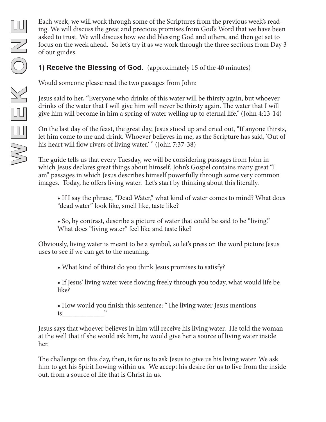Each week, we will work through some of the Scriptures from the previous week's reading. We will discuss the great and precious promises from God's Word that we have been asked to trust. We will discuss how we did blessing God and others, and then get set to focus on the week ahead. So let's try it as we work through the three sections from Day 3 of our guides.

#### **1) Receive the Blessing of God.** (approximately 15 of the 40 minutes)

Would someone please read the two passages from John:

Jesus said to her, "Everyone who drinks of this water will be thirsty again, but whoever drinks of the water that I will give him will never be thirsty again. The water that I will give him will become in him a spring of water welling up to eternal life." (John 4:13-14)

On the last day of the feast, the great day, Jesus stood up and cried out, "If anyone thirsts, let him come to me and drink. Whoever believes in me, as the Scripture has said, 'Out of his heart will flow rivers of living water.' " (John 7:37-38)

The guide tells us that every Tuesday, we will be considering passages from John in which Jesus declares great things about himself. John's Gospel contains many great "I am" passages in which Jesus describes himself powerfully through some very common images. Today, he offers living water. Let's start by thinking about this literally.

• If I say the phrase, "Dead Water," what kind of water comes to mind? What does "dead water" look like, smell like, taste like?

• So, by contrast, describe a picture of water that could be said to be "living." What does "living water" feel like and taste like?

Obviously, living water is meant to be a symbol, so let's press on the word picture Jesus uses to see if we can get to the meaning.

• What kind of thirst do you think Jesus promises to satisfy?

• If Jesus' living water were flowing freely through you today, what would life be like?

• How would you finish this sentence: "The living water Jesus mentions is\_\_\_\_\_\_\_\_\_\_\_\_"

Jesus says that whoever believes in him will receive his living water. He told the woman at the well that if she would ask him, he would give her a source of living water inside her.

The challenge on this day, then, is for us to ask Jesus to give us his living water. We ask him to get his Spirit flowing within us. We accept his desire for us to live from the inside out, from a source of life that is Christ in us.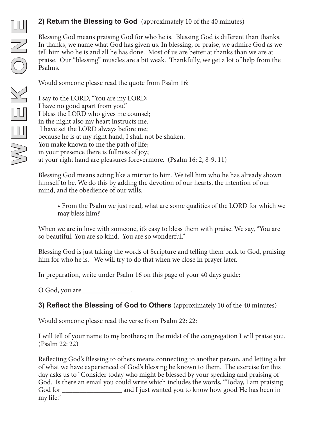#### **2) Return the Blessing to God** (approximately 10 of the 40 minutes)

Blessing God means praising God for who he is. Blessing God is different than thanks. In thanks, we name what God has given us. In blessing, or praise, we admire God as we tell him who he is and all he has done. Most of us are better at thanks than we are at praise. Our "blessing" muscles are a bit weak. Thankfully, we get a lot of help from the Psalms.

Would someone please read the quote from Psalm 16:

I say to the LORD, "You are my LORD; I have no good apart from you." I bless the LORD who gives me counsel; in the night also my heart instructs me. I have set the LORD always before me; because he is at my right hand, I shall not be shaken. You make known to me the path of life; in your presence there is fullness of joy; at your right hand are pleasures forevermore. (Psalm 16: 2, 8-9, 11)

Blessing God means acting like a mirror to him. We tell him who he has already shown himself to be. We do this by adding the devotion of our hearts, the intention of our mind, and the obedience of our wills.

• From the Psalm we just read, what are some qualities of the LORD for which we may bless him?

When we are in love with someone, it's easy to bless them with praise. We say, "You are so beautiful. You are so kind. You are so wonderful."

Blessing God is just taking the words of Scripture and telling them back to God, praising him for who he is. We will try to do that when we close in prayer later.

In preparation, write under Psalm 16 on this page of your 40 days guide:

O God, you are

**3) Reflect the Blessing of God to Others** (approximately 10 of the 40 minutes)

Would someone please read the verse from Psalm 22: 22:

I will tell of your name to my brothers; in the midst of the congregation I will praise you. (Psalm 22: 22)

Reflecting God's Blessing to others means connecting to another person, and letting a bit of what we have experienced of God's blessing be known to them. The exercise for this day asks us to "Consider today who might be blessed by your speaking and praising of God. Is there an email you could write which includes the words, "Today, I am praising God for \_\_\_\_\_\_\_\_\_\_\_\_\_\_\_\_\_ and I just wanted you to know how good He has been in my life."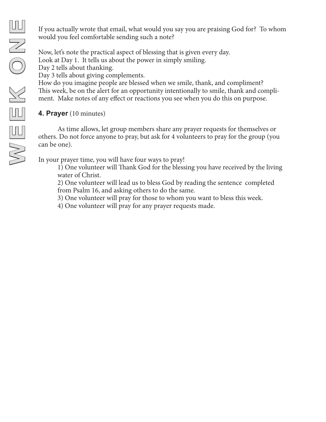If you actually wrote that email, what would you say you are praising God for? To whom would you feel comfortable sending such a note?

Now, let's note the practical aspect of blessing that is given every day. Look at Day 1. It tells us about the power in simply smiling. Day 2 tells about thanking. Day 3 tells about giving complements. How do you imagine people are blessed when we smile, thank, and compliment? This week, be on the alert for an opportunity intentionally to smile, thank and compli-

ment. Make notes of any effect or reactions you see when you do this on purpose.

#### **4. Prayer** (10 minutes)

As time allows, let group members share any prayer requests for themselves or others. Do not force anyone to pray, but ask for 4 volunteers to pray for the group (you can be one).

In your prayer time, you will have four ways to pray!

1) One volunteer will Thank God for the blessing you have received by the living water of Christ.

2) One volunteer will lead us to bless God by reading the sentence completed from Psalm 16, and asking others to do the same.

3) One volunteer will pray for those to whom you want to bless this week.

4) One volunteer will pray for any prayer requests made.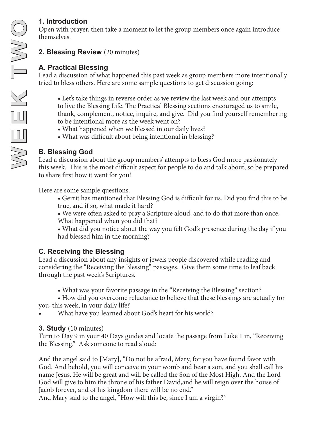# **1. Introduction**

Open with prayer, then take a moment to let the group members once again introduce themselves.

### **2. Blessing Review** (20 minutes)

# **A. Practical Blessing**

Lead a discussion of what happened this past week as group members more intentionally tried to bless others. Here are some sample questions to get discussion going:

• Let's take things in reverse order as we review the last week and our attempts to live the Blessing Life. The Practical Blessing sections encouraged us to smile, thank, complement, notice, inquire, and give. Did you find yourself remembering to be intentional more as the week went on?

- What happened when we blessed in our daily lives?
- What was difficult about being intentional in blessing?

### **B. Blessing God**

Lead a discussion about the group members' attempts to bless God more passionately this week. This is the most difficult aspect for people to do and talk about, so be prepared to share first how it went for you!

Here are some sample questions.

- Gerrit has mentioned that Blessing God is difficult for us. Did you find this to be true, and if so, what made it hard?
- We were often asked to pray a Scripture aloud, and to do that more than once. What happened when you did that?

• What did you notice about the way you felt God's presence during the day if you had blessed him in the morning?

### **C. Receiving the Blessing**

Lead a discussion about any insights or jewels people discovered while reading and considering the "Receiving the Blessing" passages. Give them some time to leaf back through the past week's Scriptures.

• What was your favorite passage in the "Receiving the Blessing" section?

• How did you overcome reluctance to believe that these blessings are actually for you, this week, in your daily life?

What have you learned about God's heart for his world?

### **3. Study** (10 minutes)

Turn to Day 9 in your 40 Days guides and locate the passage from Luke 1 in, "Receiving the Blessing." Ask someone to read aloud:

And the angel said to [Mary], "Do not be afraid, Mary, for you have found favor with God. And behold, you will conceive in your womb and bear a son, and you shall call his name Jesus. He will be great and will be called the Son of the Most High. And the Lord God will give to him the throne of his father David,and he will reign over the house of Jacob forever, and of his kingdom there will be no end."

And Mary said to the angel, "How will this be, since I am a virgin?"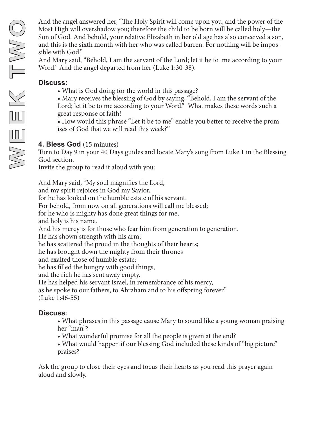And the angel answered her, "The Holy Spirit will come upon you, and the power of the Most High will overshadow you; therefore the child to be born will be called holy—the Son of God. And behold, your relative Elizabeth in her old age has also conceived a son, and this is the sixth month with her who was called barren. For nothing will be impossible with God."

And Mary said, "Behold, I am the servant of the Lord; let it be to me according to your Word." And the angel departed from her (Luke 1:30-38).

#### **Discuss:**

- What is God doing for the world in this passage?
- Mary receives the blessing of God by saying, "Behold, I am the servant of the Lord; let it be to me according to your Word." What makes these words such a great response of faith!
- How would this phrase "Let it be to me" enable you better to receive the prom ises of God that we will read this week?"

#### **4. Bless God** (15 minutes)

Turn to Day 9 in your 40 Days guides and locate Mary's song from Luke 1 in the Blessing God section.

Invite the group to read it aloud with you:

And Mary said, "My soul magnifies the Lord, and my spirit rejoices in God my Savior, for he has looked on the humble estate of his servant. For behold, from now on all generations will call me blessed; for he who is mighty has done great things for me, and holy is his name. And his mercy is for those who fear him from generation to generation. He has shown strength with his arm; he has scattered the proud in the thoughts of their hearts; he has brought down the mighty from their thrones and exalted those of humble estate; he has filled the hungry with good things, and the rich he has sent away empty. He has helped his servant Israel, in remembrance of his mercy, as he spoke to our fathers, to Abraham and to his offspring forever." (Luke 1:46-55)

#### **Discuss:**

- What phrases in this passage cause Mary to sound like a young woman praising her "man"?
- What wonderful promise for all the people is given at the end?
- What would happen if our blessing God included these kinds of "big picture" praises?

Ask the group to close their eyes and focus their hearts as you read this prayer again aloud and slowly.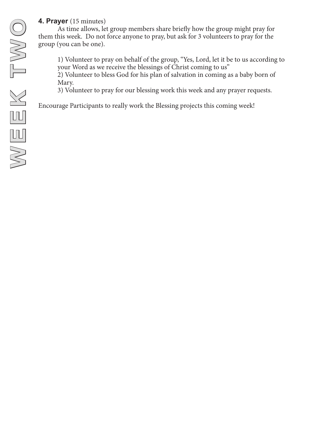### **4. Prayer** (15 minutes)

As time allows, let group members share briefly how the group might pray for them this week. Do not force anyone to pray, but ask for 3 volunteers to pray for the group (you can be one).

1) Volunteer to pray on behalf of the group, "Yes, Lord, let it be to us according to your Word as we receive the blessings of Christ coming to us"

2) Volunteer to bless God for his plan of salvation in coming as a baby born of Mary.

3) Volunteer to pray for our blessing work this week and any prayer requests.

Encourage Participants to really work the Blessing projects this coming week!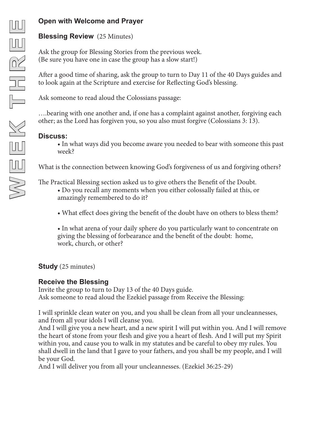#### **Open with Welcome and Prayer**

#### **Blessing Review** (25 Minutes)

Ask the group for Blessing Stories from the previous week. (Be sure you have one in case the group has a slow start!)

After a good time of sharing, ask the group to turn to Day 11 of the 40 Days guides and to look again at the Scripture and exercise for Reflecting God's blessing.

Ask someone to read aloud the Colossians passage:

….bearing with one another and, if one has a complaint against another, forgiving each other; as the Lord has forgiven you, so you also must forgive (Colossians 3: 13).

#### **Discuss:**

• In what ways did you become aware you needed to bear with someone this past week?

What is the connection between knowing God's forgiveness of us and forgiving others?

The Practical Blessing section asked us to give others the Benefit of the Doubt.

- Do you recall any moments when you either colossally failed at this, or amazingly remembered to do it?
- What effect does giving the benefit of the doubt have on others to bless them?

• In what arena of your daily sphere do you particularly want to concentrate on giving the blessing of forbearance and the benefit of the doubt: home, work, church, or other?

**Study** (25 minutes)

#### **Receive the Blessing**

Invite the group to turn to Day 13 of the 40 Days guide. Ask someone to read aloud the Ezekiel passage from Receive the Blessing:

I will sprinkle clean water on you, and you shall be clean from all your uncleannesses, and from all your idols I will cleanse you.

And I will give you a new heart, and a new spirit I will put within you. And I will remove the heart of stone from your flesh and give you a heart of flesh. And I will put my Spirit within you, and cause you to walk in my statutes and be careful to obey my rules. You shall dwell in the land that I gave to your fathers, and you shall be my people, and I will be your God.

And I will deliver you from all your uncleannesses. (Ezekiel 36:25-29)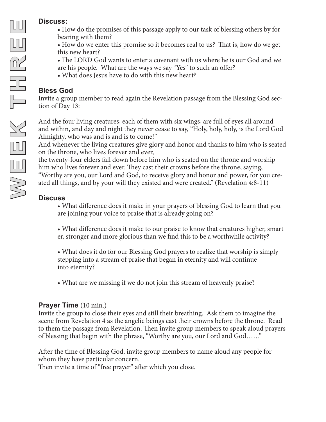#### **Discuss:**

- How do the promises of this passage apply to our task of blessing others by for bearing with them?
- How do we enter this promise so it becomes real to us? That is, how do we get this new heart?
- The LORD God wants to enter a covenant with us where he is our God and we are his people. What are the ways we say "Yes" to such an offer?
- What does Jesus have to do with this new heart?

### **Bless God**

Invite a group member to read again the Revelation passage from the Blessing God section of Day 13:

And the four living creatures, each of them with six wings, are full of eyes all around and within, and day and night they never cease to say, "Holy, holy, holy, is the Lord God Almighty, who was and is and is to come!"

And whenever the living creatures give glory and honor and thanks to him who is seated on the throne, who lives forever and ever,

the twenty-four elders fall down before him who is seated on the throne and worship him who lives forever and ever. They cast their crowns before the throne, saying, "Worthy are you, our Lord and God, to receive glory and honor and power, for you created all things, and by your will they existed and were created." (Revelation 4:8-11)

# **Discuss**

• What difference does it make in your prayers of blessing God to learn that you are joining your voice to praise that is already going on?

- What difference does it make to our praise to know that creatures higher, smart er, stronger and more glorious than we find this to be a worthwhile activity?
- What does it do for our Blessing God prayers to realize that worship is simply stepping into a stream of praise that began in eternity and will continue into eternity?
- What are we missing if we do not join this stream of heavenly praise?

# **Prayer Time** (10 min.)

Invite the group to close their eyes and still their breathing. Ask them to imagine the scene from Revelation 4 as the angelic beings cast their crowns before the throne. Read to them the passage from Revelation. Then invite group members to speak aloud prayers of blessing that begin with the phrase, "Worthy are you, our Lord and God……"

After the time of Blessing God, invite group members to name aloud any people for whom they have particular concern.

Then invite a time of "free prayer" after which you close.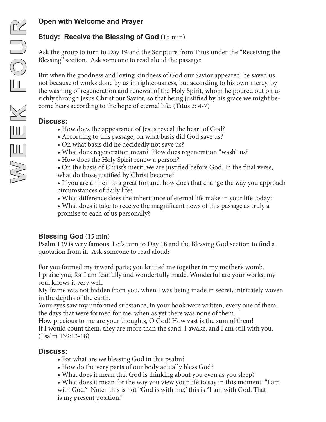# **Study: Receive the Blessing of God** (15 min)

Ask the group to turn to Day 19 and the Scripture from Titus under the "Receiving the Blessing" section. Ask someone to read aloud the passage:

But when the goodness and loving kindness of God our Savior appeared, he saved us, not because of works done by us in righteousness, but according to his own mercy, by the washing of regeneration and renewal of the Holy Spirit, whom he poured out on us richly through Jesus Christ our Savior, so that being justified by his grace we might become heirs according to the hope of eternal life. (Titus 3: 4-7)

# **Discuss:**

- How does the appearance of Jesus reveal the heart of God?
- According to this passage, on what basis did God save us?
- On what basis did he decidedly not save us?
- What does regeneration mean? How does regeneration "wash" us?
- How does the Holy Spirit renew a person?
- On the basis of Christ's merit, we are justified before God. In the final verse,
- what do those justified by Christ become?
- If you are an heir to a great fortune, how does that change the way you approach circumstances of daily life?
- What difference does the inheritance of eternal life make in your life today?
- What does it take to receive the magnificent news of this passage as truly a promise to each of us personally?

# **Blessing God** (15 min)

Psalm 139 is very famous. Let's turn to Day 18 and the Blessing God section to find a quotation from it. Ask someone to read aloud:

For you formed my inward parts; you knitted me together in my mother's womb. I praise you, for I am fearfully and wonderfully made. Wonderful are your works; my soul knows it very well.

My frame was not hidden from you, when I was being made in secret, intricately woven in the depths of the earth.

Your eyes saw my unformed substance; in your book were written, every one of them, the days that were formed for me, when as yet there was none of them.

How precious to me are your thoughts, O God! How vast is the sum of them! If I would count them, they are more than the sand. I awake, and I am still with you. (Psalm 139:13-18)

# **Discuss:**

- For what are we blessing God in this psalm?
- How do the very parts of our body actually bless God?
- What does it mean that God is thinking about you even as you sleep?
- What does it mean for the way you view your life to say in this moment, "I am with God." Note: this is not "God is with me," this is "I am with God. That is my present position."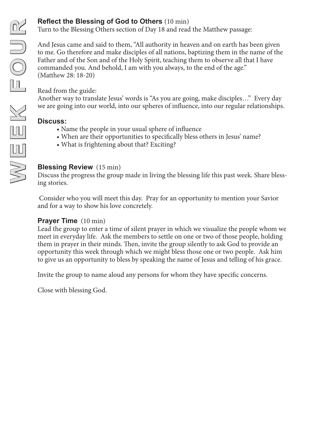#### **Reflect the Blessing of God to Others** (10 min)

Turn to the Blessing Others section of Day 18 and read the Matthew passage:

And Jesus came and said to them, "All authority in heaven and on earth has been given to me. Go therefore and make disciples of all nations, baptizing them in the name of the Father and of the Son and of the Holy Spirit, teaching them to observe all that I have commanded you. And behold, I am with you always, to the end of the age." (Matthew 28: 18-20)

Read from the guide:

Another way to translate Jesus' words is "As you are going, make disciples…" Every day we are going into our world, into our spheres of influence, into our regular relationships.

#### **Discuss:**

- Name the people in your usual sphere of influence
- When are their opportunities to specifically bless others in Jesus' name?
- What is frightening about that? Exciting?

#### **Blessing Review** (15 min)

Discuss the progress the group made in living the blessing life this past week. Share blessing stories.

 Consider who you will meet this day. Pray for an opportunity to mention your Savior and for a way to show his love concretely.

#### **Prayer Time** (10 min)

Lead the group to enter a time of silent prayer in which we visualize the people whom we meet in everyday life. Ask the members to settle on one or two of those people, holding them in prayer in their minds. Then, invite the group silently to ask God to provide an opportunity this week through which we might bless those one or two people. Ask him to give us an opportunity to bless by speaking the name of Jesus and telling of his grace.

Invite the group to name aloud any persons for whom they have specific concerns.

Close with blessing God.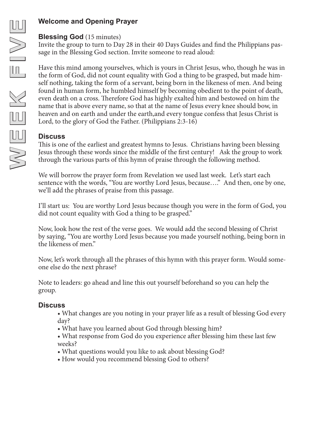# **Welcome and Opening Prayer**

#### **Blessing God** (15 minutes)

Invite the group to turn to Day 28 in their 40 Days Guides and find the Philippians passage in the Blessing God section. Invite someone to read aloud:

Have this mind among yourselves, which is yours in Christ Jesus, who, though he was in the form of God, did not count equality with God a thing to be grasped, but made himself nothing, taking the form of a servant, being born in the likeness of men. And being found in human form, he humbled himself by becoming obedient to the point of death, even death on a cross. Therefore God has highly exalted him and bestowed on him the name that is above every name, so that at the name of Jesus every knee should bow, in heaven and on earth and under the earth,and every tongue confess that Jesus Christ is Lord, to the glory of God the Father. (Philippians 2:3-16)

# **Discuss**

This is one of the earliest and greatest hymns to Jesus. Christians having been blessing Jesus through these words since the middle of the first century! Ask the group to work through the various parts of this hymn of praise through the following method.

We will borrow the prayer form from Revelation we used last week. Let's start each sentence with the words, "You are worthy Lord Jesus, because…." And then, one by one, we'll add the phrases of praise from this passage.

I'll start us: You are worthy Lord Jesus because though you were in the form of God, you did not count equality with God a thing to be grasped."

Now, look how the rest of the verse goes. We would add the second blessing of Christ by saying, "You are worthy Lord Jesus because you made yourself nothing, being born in the likeness of men."

Now, let's work through all the phrases of this hymn with this prayer form. Would someone else do the next phrase?

Note to leaders: go ahead and line this out yourself beforehand so you can help the group.

### **Discuss**

- What changes are you noting in your prayer life as a result of blessing God every day?
- What have you learned about God through blessing him?
- What response from God do you experience after blessing him these last few weeks?
- What questions would you like to ask about blessing God?
- How would you recommend blessing God to others?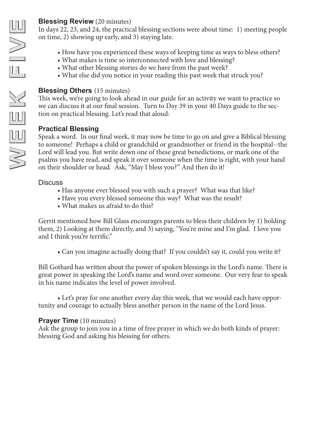In days 22, 23, and 24, the practical blessing sections were about time: 1) meeting people on time, 2) showing up early, and 3) staying late.

- How have you experienced these ways of keeping time as ways to bless others?
- What makes is time so interconnected with love and blessing?
- What other blessing stories do we have from the past week?
- What else did you notice in your reading this past week that struck you?

### **Blessing Others** (15 minutes)

This week, we're going to look ahead in our guide for an activity we want to practice so we can discuss it at our final session. Turn to Day 39 in your 40 Days guide to the sec tion on practical blessing. Let's read that aloud:

# **Practical Blessing**

**Elessing Review** (20 minutes)<br>
In days 22, 23, and 24, the practice<br>
on time, 2) showing up early, and<br>
• How have you experience<br>
• What makes is time so in<br>
• What other blessing stori<br>
• What else did you notice<br> **Bles** Speak a word. In our final week, it may now be time to go on and give a Biblical blessing to someone! Perhaps a child or grandchild or grandmother or friend in the hospital--the Lord will lead you. But write down one of these great benedictions, or mark one of the psalms you have read, and speak it over someone when the time is right, with your hand on their shoulder or head. Ask, "May I bless you?" And then do it!

#### **Discuss**

- Has anyone ever blessed you with such a prayer? What was that like?
- Have you every blessed someone this way? What was the result?
- What makes us afraid to do this?

Gerrit mentioned how Bill Glass encourages parents to bless their children by 1) holding them, 2) Looking at them directly, and 3) saying, "You're mine and I'm glad. I love you and I think you're terrific."

• Can you imagine actually doing that? If you couldn't say it, could you write it?

Bill Gothard has written about the power of spoken blessings in the Lord's name. There is great power in speaking the Lord's name and word over someone. Our very fear to speak in his name indicates the level of power involved.

• Let's pray for one another every day this week, that we would each have oppor tunity and courage to actually bless another person in the name of the Lord Jesus.

# **Prayer Time** (10 minutes)

Ask the group to join you in a time of free prayer in which we do both kinds of prayer: blessing God and asking his blessing for others.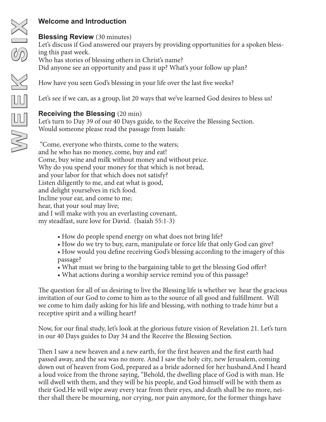#### **Blessing Review** (30 minutes)

Let's discuss if God answered our prayers by providing opportunities for a spoken blessing this past week. Who has stories of blessing others in Christ's name? Did anyone see an opportunity and pass it up? What's your follow up plan?

How have you seen God's blessing in your life over the last five weeks?

Let's see if we can, as a group, list 20 ways that we've learned God desires to bless us!

### **Receiving the Blessing** (20 min)

Let's turn to Day 39 of our 40 Days guide, to the Receive the Blessing Section. Would someone please read the passage from Isaiah:

 "Come, everyone who thirsts, come to the waters; and he who has no money, come, buy and eat! Come, buy wine and milk without money and without price. Why do you spend your money for that which is not bread, and your labor for that which does not satisfy? Listen diligently to me, and eat what is good, and delight yourselves in rich food. Incline your ear, and come to me; hear, that your soul may live; and I will make with you an everlasting covenant, my steadfast, sure love for David. (Isaiah 55:1-3)

- How do people spend energy on what does not bring life?
- How do we try to buy, earn, manipulate or force life that only God can give?
- How would you define receiving God's blessing according to the imagery of this passage?
- What must we bring to the bargaining table to get the blessing God offer?
- What actions during a worship service remind you of this passage?

The question for all of us desiring to live the Blessing life is whether we hear the gracious invitation of our God to come to him as to the source of all good and fulfillment. Will we come to him daily asking for his life and blessing, with nothing to trade himr but a receptive spirit and a willing heart?

Now, for our final study, let's look at the glorious future vision of Revelation 21. Let's turn in our 40 Days guides to Day 34 and the Receive the Blessing Section.

Then I saw a new heaven and a new earth, for the first heaven and the first earth had passed away, and the sea was no more. And I saw the holy city, new Jerusalem, coming down out of heaven from God, prepared as a bride adorned for her husband.And I heard a loud voice from the throne saying, "Behold, the dwelling place of God is with man. He will dwell with them, and they will be his people, and God himself will be with them as their God.He will wipe away every tear from their eyes, and death shall be no more, neither shall there be mourning, nor crying, nor pain anymore, for the former things have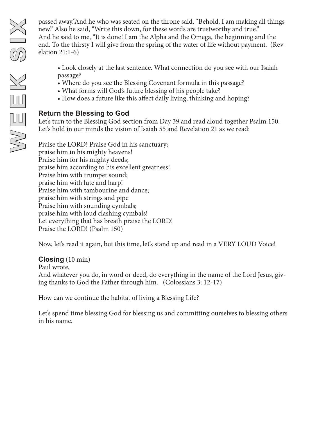passed away."And he who was seated on the throne said, "Behold, I am making all things new." Also he said, "Write this down, for these words are trustworthy and true." And he said to me, "It is done! I am the Alpha and the Omega, the beginning and the end. To the thirsty I will give from the spring of the water of life without payment. (Revelation 21:1-6)

- Look closely at the last sentence. What connection do you see with our Isaiah passage?
- Where do you see the Blessing Covenant formula in this passage?
- What forms will God's future blessing of his people take?
- How does a future like this affect daily living, thinking and hoping?

# **Return the Blessing to God**

Let's turn to the Blessing God section from Day 39 and read aloud together Psalm 150. Let's hold in our minds the vision of Isaiah 55 and Revelation 21 as we read:

Praise the LORD! Praise God in his sanctuary; praise him in his mighty heavens! Praise him for his mighty deeds; praise him according to his excellent greatness! Praise him with trumpet sound; praise him with lute and harp! Praise him with tambourine and dance; praise him with strings and pipe Praise him with sounding cymbals; praise him with loud clashing cymbals! Let everything that has breath praise the LORD! Praise the LORD! (Psalm 150)

Now, let's read it again, but this time, let's stand up and read in a VERY LOUD Voice!

### **Closing** (10 min)

Paul wrote,

And whatever you do, in word or deed, do everything in the name of the Lord Jesus, giving thanks to God the Father through him. (Colossians 3: 12-17)

How can we continue the habitat of living a Blessing Life?

Let's spend time blessing God for blessing us and committing ourselves to blessing others in his name.